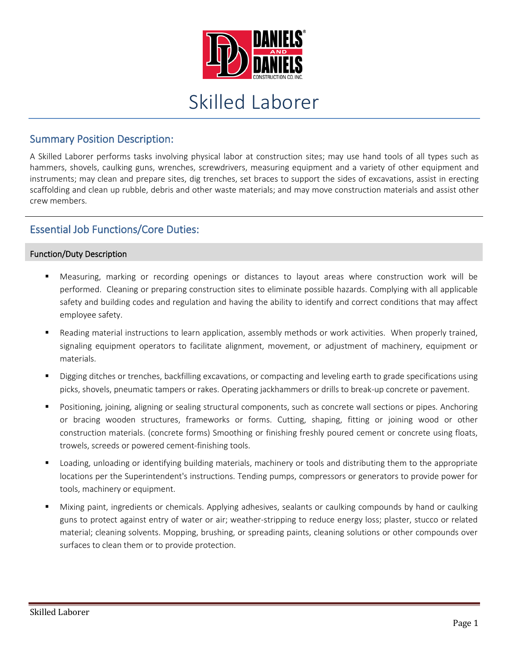

# Skilled Laborer

## Summary Position Description:

A Skilled Laborer performs tasks involving physical labor at construction sites; may use hand tools of all types such as hammers, shovels, caulking guns, wrenches, screwdrivers, measuring equipment and a variety of other equipment and instruments; may clean and prepare sites, dig trenches, set braces to support the sides of excavations, assist in erecting scaffolding and clean up rubble, debris and other waste materials; and may move construction materials and assist other crew members.

## Essential Job Functions/Core Duties:

### Function/Duty Description

- Measuring, marking or recording openings or distances to layout areas where construction work will be performed. Cleaning or preparing construction sites to eliminate possible hazards. Complying with all applicable safety and building codes and regulation and having the ability to identify and correct conditions that may affect employee safety.
- Reading material instructions to learn application, assembly methods or work activities. When properly trained, signaling equipment operators to facilitate alignment, movement, or adjustment of machinery, equipment or materials.
- Digging ditches or trenches, backfilling excavations, or compacting and leveling earth to grade specifications using picks, shovels, pneumatic tampers or rakes. Operating jackhammers or drills to break-up concrete or pavement.
- Positioning, joining, aligning or sealing structural components, such as concrete wall sections or pipes. Anchoring or bracing wooden structures, frameworks or forms. Cutting, shaping, fitting or joining wood or other construction materials. (concrete forms) Smoothing or finishing freshly poured cement or concrete using floats, trowels, screeds or powered cement-finishing tools.
- Loading, unloading or identifying building materials, machinery or tools and distributing them to the appropriate locations per the Superintendent's instructions. Tending pumps, compressors or generators to provide power for tools, machinery or equipment.
- Mixing paint, ingredients or chemicals. Applying adhesives, sealants or caulking compounds by hand or caulking guns to protect against entry of water or air; weather-stripping to reduce energy loss; plaster, stucco or related material; cleaning solvents. Mopping, brushing, or spreading paints, cleaning solutions or other compounds over surfaces to clean them or to provide protection.